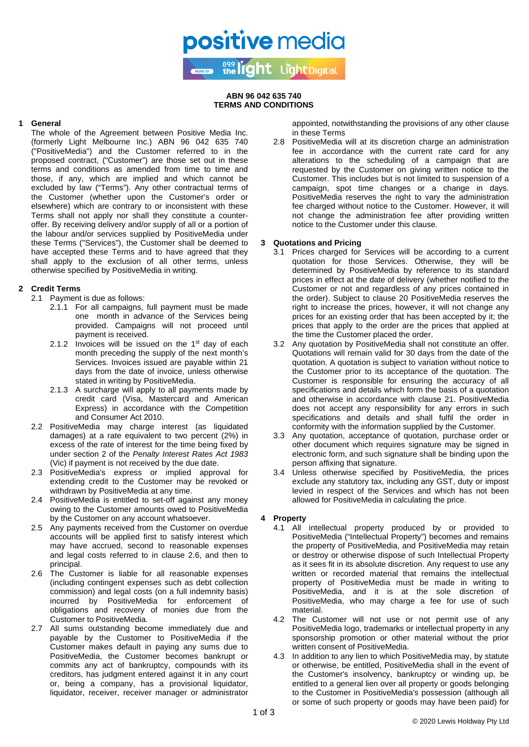#### **ABN 96 042 635 740 TERMS AND CONDITIONS**

**positive** media

899 light Light Digital

### **1 General**

The whole of the Agreement between Positive Media Inc. (formerly Light Melbourne Inc.) ABN 96 042 635 740 ("PositiveMedia") and the Customer referred to in the proposed contract, ("Customer") are those set out in these terms and conditions as amended from time to time and those, if any, which are implied and which cannot be excluded by law ("Terms"). Any other contractual terms of the Customer (whether upon the Customer's order or elsewhere) which are contrary to or inconsistent with these Terms shall not apply nor shall they constitute a counteroffer. By receiving delivery and/or supply of all or a portion of the labour and/or services supplied by PositiveMedia under these Terms ("Services"), the Customer shall be deemed to have accepted these Terms and to have agreed that they shall apply to the exclusion of all other terms, unless otherwise specified by PositiveMedia in writing.

# <span id="page-0-1"></span>**2 Credit Terms**

2.1 Payment is due as follows:

- 2.1.1 For all campaigns, full payment must be made one month in advance of the Services being provided. Campaigns will not proceed until payment is received.
- 2.1.2 Invoices will be issued on the  $1<sup>st</sup>$  day of each month preceding the supply of the next month's Services. Invoices issued are payable within 21 days from the date of invoice, unless otherwise stated in writing by PositiveMedia.
- 2.1.3 A surcharge will apply to all payments made by credit card (Visa, Mastercard and American Express) in accordance with the Competition and Consumer Act 2010.
- 2.2 PositiveMedia may charge interest (as liquidated damages) at a rate equivalent to two percent (2%) in excess of the rate of interest for the time being fixed by under section 2 of the *Penalty Interest Rates Act 1983* (Vic) if payment is not received by the due date.
- 2.3 PositiveMedia's express or implied approval for extending credit to the Customer may be revoked or withdrawn by PositiveMedia at any time.
- 2.4 PositiveMedia is entitled to set-off against any money owing to the Customer amounts owed to PositiveMedia by the Customer on any account whatsoever.
- 2.5 Any payments received from the Customer on overdue accounts will be applied first to satisfy interest which may have accrued, second to reasonable expenses and legal costs referred to in clause [2.6,](#page-0-0) and then to principal.
- <span id="page-0-0"></span>2.6 The Customer is liable for all reasonable expenses (including contingent expenses such as debt collection commission) and legal costs (on a full indemnity basis) incurred by PositiveMedia for enforcement of obligations and recovery of monies due from the Customer to PositiveMedia.
- 2.7 All sums outstanding become immediately due and payable by the Customer to PositiveMedia if the Customer makes default in paying any sums due to PositiveMedia, the Customer becomes bankrupt or commits any act of bankruptcy, compounds with its creditors, has judgment entered against it in any court or, being a company, has a provisional liquidator, liquidator, receiver, receiver manager or administrator

appointed, notwithstanding the provisions of any other clause in these Terms

2.8 PositiveMedia will at its discretion charge an administration fee in accordance with the current rate card for any alterations to the scheduling of a campaign that are requested by the Customer on giving written notice to the Customer. This includes but is not limited to suspension of a campaign, spot time changes or a change in days. PositiveMedia reserves the right to vary the administration fee charged without notice to the Customer. However, it will not change the administration fee after providing written notice to the Customer under this clause.

## **3 Quotations and Pricing**

- 3.1 Prices charged for Services will be according to a current quotation for those Services. Otherwise, they will be determined by PositiveMedia by reference to its standard prices in effect at the date of delivery (whether notified to the Customer or not and regardless of any prices contained in the order). Subject to clause [20](#page-2-0) PositiveMedia reserves the right to increase the prices, however, it will not change any prices for an existing order that has been accepted by it; the prices that apply to the order are the prices that applied at the time the Customer placed the order.
- 3.2 Any quotation by PositiveMedia shall not constitute an offer. Quotations will remain valid for 30 days from the date of the quotation. A quotation is subject to variation without notice to the Customer prior to its acceptance of the quotation. The Customer is responsible for ensuring the accuracy of all specifications and details which form the basis of a quotation and otherwise in accordance with clause [21.](#page-2-1) PositiveMedia does not accept any responsibility for any errors in such specifications and details and shall fulfil the order in conformity with the information supplied by the Customer.
- 3.3 Any quotation, acceptance of quotation, purchase order or other document which requires signature may be signed in electronic form, and such signature shall be binding upon the person affixing that signature.
- 3.4 Unless otherwise specified by PositiveMedia, the prices exclude any statutory tax, including any GST, duty or impost levied in respect of the Services and which has not been allowed for PositiveMedia in calculating the price.

#### **4 Property**

- 4.1 All intellectual property produced by or provided to PositiveMedia ("Intellectual Property") becomes and remains the property of PositiveMedia, and PositiveMedia may retain or destroy or otherwise dispose of such Intellectual Property as it sees fit in its absolute discretion. Any request to use any written or recorded material that remains the intellectual property of PositiveMedia must be made in writing to PositiveMedia, and it is at the sole discretion of PositiveMedia, who may charge a fee for use of such material.
- 4.2 The Customer will not use or not permit use of any PositiveMedia logo, trademarks or intellectual property in any sponsorship promotion or other material without the prior written consent of PositiveMedia.
- 4.3 In addition to any lien to which PositiveMedia may, by statute or otherwise, be entitled, PositiveMedia shall in the event of the Customer's insolvency, bankruptcy or winding up, be entitled to a general lien over all property or goods belonging to the Customer in PositiveMedia's possession (although all or some of such property or goods may have been paid) for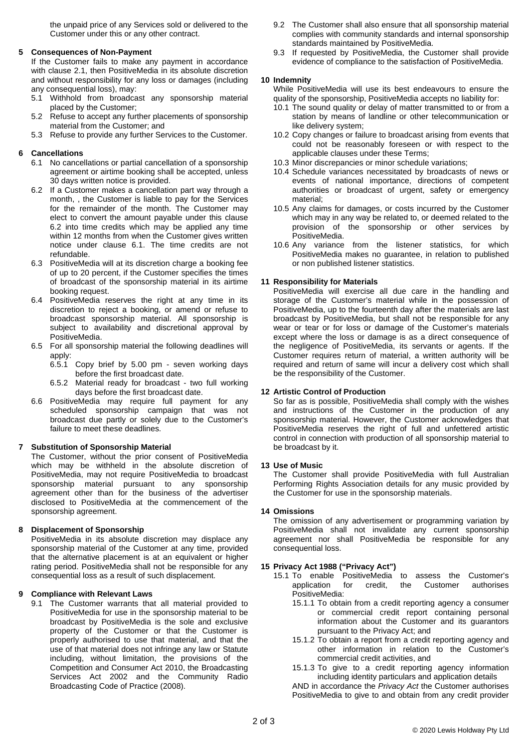the unpaid price of any Services sold or delivered to the Customer under this or any other contract.

### **5 Consequences of Non-Payment**

If the Customer fails to make any payment in accordance with clause [2.1,](#page-0-1) then PositiveMedia in its absolute discretion and without responsibility for any loss or damages (including any consequential loss), may:

- 5.1 Withhold from broadcast any sponsorship material placed by the Customer;
- 5.2 Refuse to accept any further placements of sponsorship material from the Customer; and
- 5.3 Refuse to provide any further Services to the Customer.

## <span id="page-1-1"></span>**6 Cancellations**

- 6.1 No cancellations or partial cancellation of a sponsorship agreement or airtime booking shall be accepted, unless 30 days written notice is provided.
- <span id="page-1-0"></span>6.2 If a Customer makes a cancellation part way through a month, , the Customer is liable to pay for the Services for the remainder of the month. The Customer may elect to convert the amount payable under this clause [6.2](#page-1-0) into time credits which may be applied any time within 12 months from when the Customer gives written notice under clause [6.1.](#page-1-1) The time credits are not refundable.
- 6.3 PositiveMedia will at its discretion charge a booking fee of up to 20 percent, if the Customer specifies the times of broadcast of the sponsorship material in its airtime booking request.
- 6.4 PositiveMedia reserves the right at any time in its discretion to reject a booking, or amend or refuse to broadcast sponsorship material. All sponsorship is subject to availability and discretional approval by PositiveMedia.
- 6.5 For all sponsorship material the following deadlines will apply:
	- 6.5.1 Copy brief by 5.00 pm seven working days before the first broadcast date.
	- 6.5.2 Material ready for broadcast two full working days before the first broadcast date.
- 6.6 PositiveMedia may require full payment for any scheduled sponsorship campaign that was not broadcast due partly or solely due to the Customer's failure to meet these deadlines.

## **7 Substitution of Sponsorship Material**

The Customer, without the prior consent of PositiveMedia which may be withheld in the absolute discretion of PositiveMedia, may not require PositiveMedia to broadcast sponsorship material pursuant to any sponsorship agreement other than for the business of the advertiser disclosed to PositiveMedia at the commencement of the sponsorship agreement.

### **8 Displacement of Sponsorship**

PositiveMedia in its absolute discretion may displace any sponsorship material of the Customer at any time, provided that the alternative placement is at an equivalent or higher rating period. PositiveMedia shall not be responsible for any consequential loss as a result of such displacement.

#### **9 Compliance with Relevant Laws**

9.1 The Customer warrants that all material provided to PositiveMedia for use in the sponsorship material to be broadcast by PositiveMedia is the sole and exclusive property of the Customer or that the Customer is properly authorised to use that material, and that the use of that material does not infringe any law or Statute including, without limitation, the provisions of the Competition and Consumer Act 2010, the Broadcasting Services Act 2002 and the Community Radio Broadcasting Code of Practice (2008).

- 9.2 The Customer shall also ensure that all sponsorship material complies with community standards and internal sponsorship standards maintained by PositiveMedia.
- 9.3 If requested by PositiveMedia, the Customer shall provide evidence of compliance to the satisfaction of PositiveMedia.

### **10 Indemnity**

While PositiveMedia will use its best endeavours to ensure the quality of the sponsorship, PositiveMedia accepts no liability for:

- 10.1 The sound quality or delay of matter transmitted to or from a station by means of landline or other telecommunication or like delivery system;
- 10.2 Copy changes or failure to broadcast arising from events that could not be reasonably foreseen or with respect to the applicable clauses under these Terms;
- 10.3 Minor discrepancies or minor schedule variations;
- 10.4 Schedule variances necessitated by broadcasts of news or events of national importance, directions of competent authorities or broadcast of urgent, safety or emergency material;
- 10.5 Any claims for damages, or costs incurred by the Customer which may in any way be related to, or deemed related to the provision of the sponsorship or other services by PositiveMedia.
- 10.6 Any variance from the listener statistics, for which PositiveMedia makes no guarantee, in relation to published or non published listener statistics.

#### **11 Responsibility for Materials**

PositiveMedia will exercise all due care in the handling and storage of the Customer's material while in the possession of PositiveMedia, up to the fourteenth day after the materials are last broadcast by PositiveMedia, but shall not be responsible for any wear or tear or for loss or damage of the Customer's materials except where the loss or damage is as a direct consequence of the negligence of PositiveMedia, its servants or agents. If the Customer requires return of material, a written authority will be required and return of same will incur a delivery cost which shall be the responsibility of the Customer.

#### **12 Artistic Control of Production**

So far as is possible, PositiveMedia shall comply with the wishes and instructions of the Customer in the production of any sponsorship material. However, the Customer acknowledges that PositiveMedia reserves the right of full and unfettered artistic control in connection with production of all sponsorship material to be broadcast by it.

#### **13 Use of Music**

The Customer shall provide PositiveMedia with full Australian Performing Rights Association details for any music provided by the Customer for use in the sponsorship materials.

#### **14 Omissions**

The omission of any advertisement or programming variation by PositiveMedia shall not invalidate any current sponsorship agreement nor shall PositiveMedia be responsible for any consequential loss.

## **15 Privacy Act 1988 ("Privacy Act")**

- 15.1 To enable PositiveMedia to assess the Customer's application for credit, the Customer authorises PositiveMedia:
	- 15.1.1 To obtain from a credit reporting agency a consumer or commercial credit report containing personal information about the Customer and its guarantors pursuant to the Privacy Act; and
	- 15.1.2 To obtain a report from a credit reporting agency and other information in relation to the Customer's commercial credit activities, and
	- 15.1.3 To give to a credit reporting agency information including identity particulars and application details

AND in accordance the *Privacy Act* the Customer authorises PositiveMedia to give to and obtain from any credit provider